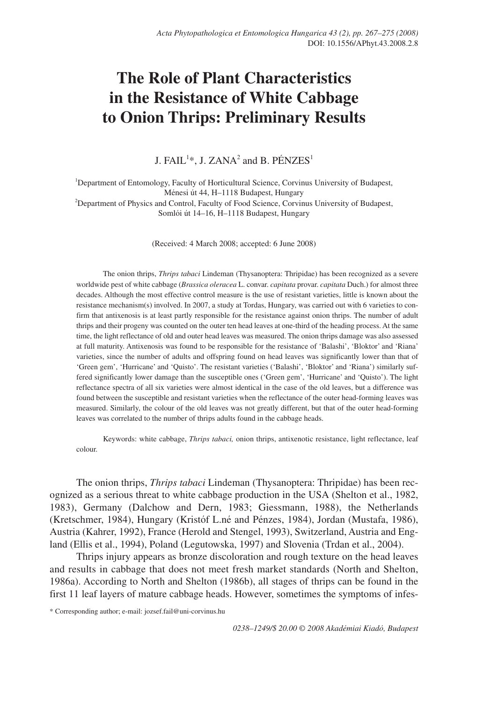# **The Role of Plant Characteristics in the Resistance of White Cabbage to Onion Thrips: Preliminary Results**

J. FAIL<sup>1\*</sup>, J. ZANA<sup>2</sup> and B. PÉNZES<sup>1</sup>

<sup>1</sup>Department of Entomology, Faculty of Horticultural Science, Corvinus University of Budapest, Ménesi út 44, H–1118 Budapest, Hungary 2 Department of Physics and Control, Faculty of Food Science, Corvinus University of Budapest, Somlói út 14–16, H–1118 Budapest, Hungary

(Received: 4 March 2008; accepted: 6 June 2008)

The onion thrips, *Thrips tabaci* Lindeman (Thysanoptera: Thripidae) has been recognized as a severe worldwide pest of white cabbage (*Brassica oleracea* L. convar. *capitata* provar. *capitata* Duch.) for almost three decades. Although the most effective control measure is the use of resistant varieties, little is known about the resistance mechanism(s) involved. In 2007, a study at Tordas, Hungary, was carried out with 6 varieties to confirm that antixenosis is at least partly responsible for the resistance against onion thrips. The number of adult thrips and their progeny was counted on the outer ten head leaves at one-third of the heading process. At the same time, the light reflectance of old and outer head leaves was measured. The onion thrips damage was also assessed at full maturity. Antixenosis was found to be responsible for the resistance of 'Balashi', 'Bloktor' and 'Riana' varieties, since the number of adults and offspring found on head leaves was significantly lower than that of 'Green gem', 'Hurricane' and 'Quisto'. The resistant varieties ('Balashi', 'Bloktor' and 'Riana') similarly suffered significantly lower damage than the susceptible ones ('Green gem', 'Hurricane' and 'Quisto'). The light reflectance spectra of all six varieties were almost identical in the case of the old leaves, but a difference was found between the susceptible and resistant varieties when the reflectance of the outer head-forming leaves was measured. Similarly, the colour of the old leaves was not greatly different, but that of the outer head-forming leaves was correlated to the number of thrips adults found in the cabbage heads.

Keywords: white cabbage, *Thrips tabaci,* onion thrips, antixenotic resistance, light reflectance, leaf colour.

The onion thrips, *Thrips tabaci* Lindeman (Thysanoptera: Thripidae) has been recognized as a serious threat to white cabbage production in the USA (Shelton et al., 1982, 1983), Germany (Dalchow and Dern, 1983; Giessmann, 1988), the Netherlands (Kretschmer, 1984), Hungary (Kristóf L.né and Pénzes, 1984), Jordan (Mustafa, 1986), Austria (Kahrer, 1992), France (Herold and Stengel, 1993), Switzerland, Austria and England (Ellis et al., 1994), Poland (Legutowska, 1997) and Slovenia (Trdan et al., 2004).

Thrips injury appears as bronze discoloration and rough texture on the head leaves and results in cabbage that does not meet fresh market standards (North and Shelton, 1986a). According to North and Shelton (1986b), all stages of thrips can be found in the first 11 leaf layers of mature cabbage heads. However, sometimes the symptoms of infes-

\* Corresponding author; e-mail: jozsef.fail@uni-corvinus.hu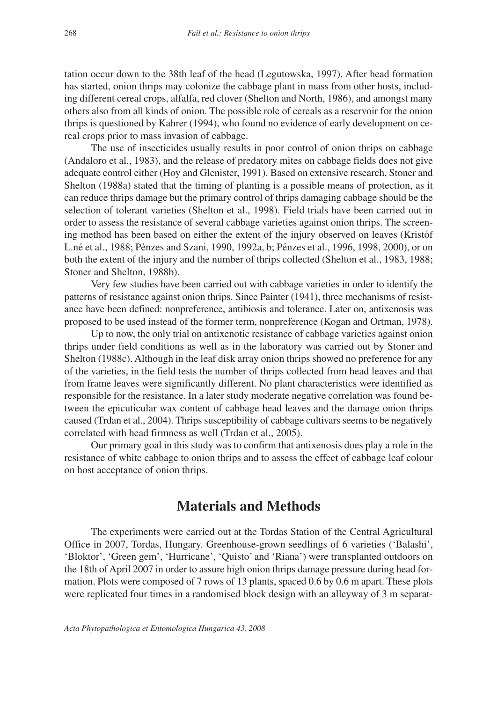tation occur down to the 38th leaf of the head (Legutowska, 1997). After head formation has started, onion thrips may colonize the cabbage plant in mass from other hosts, including different cereal crops, alfalfa, red clover (Shelton and North, 1986), and amongst many others also from all kinds of onion. The possible role of cereals as a reservoir for the onion thrips is questioned by Kahrer (1994), who found no evidence of early development on cereal crops prior to mass invasion of cabbage.

The use of insecticides usually results in poor control of onion thrips on cabbage (Andaloro et al., 1983), and the release of predatory mites on cabbage fields does not give adequate control either (Hoy and Glenister, 1991). Based on extensive research, Stoner and Shelton (1988a) stated that the timing of planting is a possible means of protection, as it can reduce thrips damage but the primary control of thrips damaging cabbage should be the selection of tolerant varieties (Shelton et al., 1998). Field trials have been carried out in order to assess the resistance of several cabbage varieties against onion thrips. The screening method has been based on either the extent of the injury observed on leaves (Kristóf L.né et al., 1988; Pénzes and Szani, 1990, 1992a, b; Pénzes et al., 1996, 1998, 2000), or on both the extent of the injury and the number of thrips collected (Shelton et al., 1983, 1988; Stoner and Shelton, 1988b).

Very few studies have been carried out with cabbage varieties in order to identify the patterns of resistance against onion thrips. Since Painter (1941), three mechanisms of resistance have been defined: nonpreference, antibiosis and tolerance. Later on, antixenosis was proposed to be used instead of the former term, nonpreference (Kogan and Ortman, 1978).

Up to now, the only trial on antixenotic resistance of cabbage varieties against onion thrips under field conditions as well as in the laboratory was carried out by Stoner and Shelton (1988c). Although in the leaf disk array onion thrips showed no preference for any of the varieties, in the field tests the number of thrips collected from head leaves and that from frame leaves were significantly different. No plant characteristics were identified as responsible for the resistance. In a later study moderate negative correlation was found between the epicuticular wax content of cabbage head leaves and the damage onion thrips caused (Trdan et al., 2004). Thrips susceptibility of cabbage cultivars seems to be negatively correlated with head firmness as well (Trdan et al., 2005).

Our primary goal in this study was to confirm that antixenosis does play a role in the resistance of white cabbage to onion thrips and to assess the effect of cabbage leaf colour on host acceptance of onion thrips.

### **Materials and Methods**

The experiments were carried out at the Tordas Station of the Central Agricultural Office in 2007, Tordas, Hungary. Greenhouse-grown seedlings of 6 varieties ('Balashi', 'Bloktor', 'Green gem', 'Hurricane', 'Quisto' and 'Riana') were transplanted outdoors on the 18th of April 2007 in order to assure high onion thrips damage pressure during head formation. Plots were composed of 7 rows of 13 plants, spaced 0.6 by 0.6 m apart. These plots were replicated four times in a randomised block design with an alleyway of 3 m separat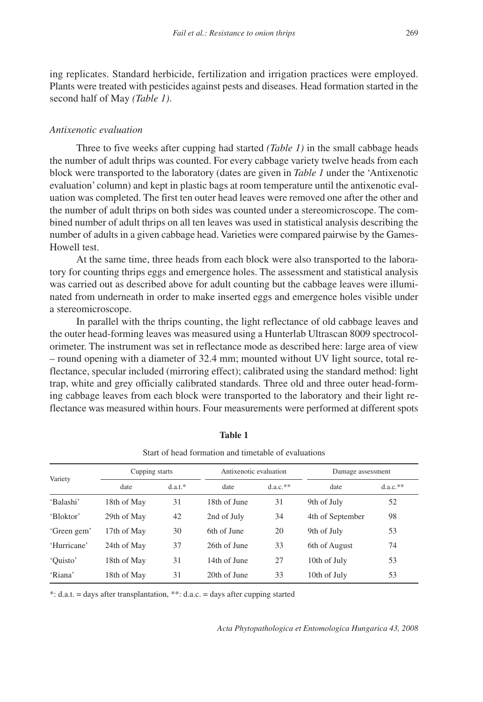ing replicates. Standard herbicide, fertilization and irrigation practices were employed. Plants were treated with pesticides against pests and diseases. Head formation started in the second half of May *(Table 1)*.

#### *Antixenotic evaluation*

Three to five weeks after cupping had started *(Table 1)* in the small cabbage heads the number of adult thrips was counted. For every cabbage variety twelve heads from each block were transported to the laboratory (dates are given in *Table 1* under the 'Antixenotic evaluation' column) and kept in plastic bags at room temperature until the antixenotic evaluation was completed. The first ten outer head leaves were removed one after the other and the number of adult thrips on both sides was counted under a stereomicroscope. The combined number of adult thrips on all ten leaves was used in statistical analysis describing the number of adults in a given cabbage head. Varieties were compared pairwise by the Games-Howell test.

At the same time, three heads from each block were also transported to the laboratory for counting thrips eggs and emergence holes. The assessment and statistical analysis was carried out as described above for adult counting but the cabbage leaves were illuminated from underneath in order to make inserted eggs and emergence holes visible under a stereomicroscope.

In parallel with the thrips counting, the light reflectance of old cabbage leaves and the outer head-forming leaves was measured using a Hunterlab Ultrascan 8009 spectrocolorimeter. The instrument was set in reflectance mode as described here: large area of view – round opening with a diameter of 32.4 mm; mounted without UV light source, total reflectance, specular included (mirroring effect); calibrated using the standard method: light trap, white and grey officially calibrated standards. Three old and three outer head-forming cabbage leaves from each block were transported to the laboratory and their light reflectance was measured within hours. Four measurements were performed at different spots

| Variety     | Cupping starts |        | Antixenotic evaluation |             | Damage assessment |             |
|-------------|----------------|--------|------------------------|-------------|-------------------|-------------|
|             | date           | d.a.t. | date                   | $d.a.c.$ ** | date              | $d.a.c.$ ** |
| 'Balashi'   | 18th of May    | 31     | 18th of June           | 31          | 9th of July       | 52          |
| 'Bloktor'   | 29th of May    | 42     | 2nd of July            | 34          | 4th of September  | 98          |
| 'Green gem' | 17th of May    | 30     | 6th of June            | 20          | 9th of July       | 53          |
| 'Hurricane' | 24th of May    | 37     | 26th of June           | 33          | 6th of August     | 74          |
| 'Ouisto'    | 18th of May    | 31     | 14th of June           | 27          | 10th of July      | 53          |
| 'Riana'     | 18th of May    | 31     | 20th of June           | 33          | 10th of July      | 53          |

#### **Table 1**

Start of head formation and timetable of evaluations

\*: d.a.t. = days after transplantation, \*\*: d.a.c. = days after cupping started

*Acta Phytopathologica et Entomologica Hungarica 43, 2008*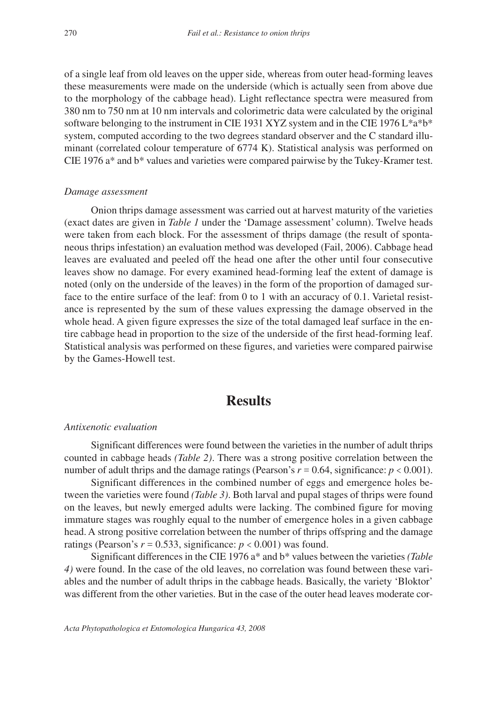of a single leaf from old leaves on the upper side, whereas from outer head-forming leaves these measurements were made on the underside (which is actually seen from above due to the morphology of the cabbage head). Light reflectance spectra were measured from 380 nm to 750 nm at 10 nm intervals and colorimetric data were calculated by the original software belonging to the instrument in CIE 1931 XYZ system and in the CIE 1976 L\*a\*b\* system, computed according to the two degrees standard observer and the C standard illuminant (correlated colour temperature of 6774 K). Statistical analysis was performed on CIE 1976 a\* and b\* values and varieties were compared pairwise by the Tukey-Kramer test.

#### *Damage assessment*

Onion thrips damage assessment was carried out at harvest maturity of the varieties (exact dates are given in *Table 1* under the 'Damage assessment' column). Twelve heads were taken from each block. For the assessment of thrips damage (the result of spontaneous thrips infestation) an evaluation method was developed (Fail, 2006). Cabbage head leaves are evaluated and peeled off the head one after the other until four consecutive leaves show no damage. For every examined head-forming leaf the extent of damage is noted (only on the underside of the leaves) in the form of the proportion of damaged surface to the entire surface of the leaf: from 0 to 1 with an accuracy of 0.1. Varietal resistance is represented by the sum of these values expressing the damage observed in the whole head. A given figure expresses the size of the total damaged leaf surface in the entire cabbage head in proportion to the size of the underside of the first head-forming leaf. Statistical analysis was performed on these figures, and varieties were compared pairwise by the Games-Howell test.

## **Results**

#### *Antixenotic evaluation*

Significant differences were found between the varieties in the number of adult thrips counted in cabbage heads *(Table 2)*. There was a strong positive correlation between the number of adult thrips and the damage ratings (Pearson's  $r = 0.64$ , significance:  $p < 0.001$ ).

Significant differences in the combined number of eggs and emergence holes between the varieties were found *(Table 3)*. Both larval and pupal stages of thrips were found on the leaves, but newly emerged adults were lacking. The combined figure for moving immature stages was roughly equal to the number of emergence holes in a given cabbage head. A strong positive correlation between the number of thrips offspring and the damage ratings (Pearson's  $r = 0.533$ , significance:  $p < 0.001$ ) was found.

Significant differences in the CIE 1976 a\* and b\* values between the varieties *(Table 4)* were found. In the case of the old leaves, no correlation was found between these variables and the number of adult thrips in the cabbage heads. Basically, the variety 'Bloktor' was different from the other varieties. But in the case of the outer head leaves moderate cor-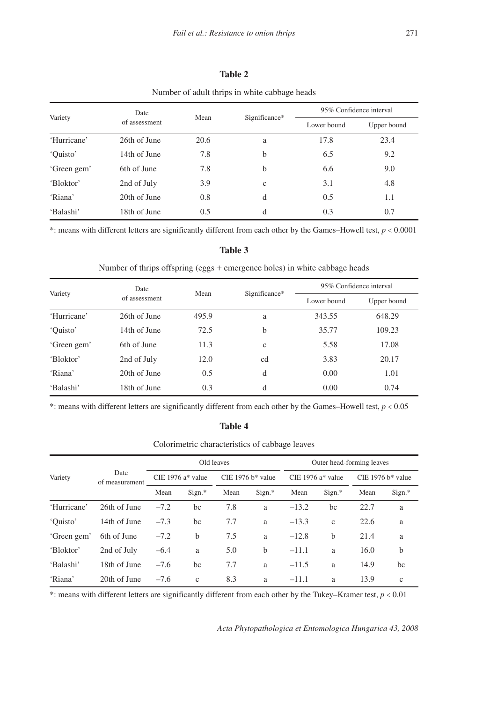#### Number of adult thrips in white cabbage heads Variety Date Date Mean Significance\* 95% Confidence interval Lower bound Upper bound 'Hurricane' 26th of June 20.6 a 17.8 23.4 'Quisto' 14th of June 7.8 b 6.5 9.2 'Green gem' 6th of June 7.8 b 6.6 9.0 'Bloktor' 2nd of July 3.9 c 3.1 4.8 'Riana' 20th of June 0.8 d 0.5 1.1 'Balashi' 18th of June 0.5 d 0.3 0.7

\*: means with different letters are significantly different from each other by the Games–Howell test, *p* < 0.0001

#### **Table 3**

Number of thrips offspring (eggs + emergence holes) in white cabbage heads

| Variety     | Date          | Mean  |               | 95% Confidence interval |             |  |
|-------------|---------------|-------|---------------|-------------------------|-------------|--|
|             | of assessment |       | Significance* | Lower bound             | Upper bound |  |
| 'Hurricane' | 26th of June  | 495.9 | a             | 343.55                  | 648.29      |  |
| 'Ouisto'    | 14th of June  | 72.5  | b             | 35.77                   | 109.23      |  |
| 'Green gem' | 6th of June   | 11.3  | $\mathbf{c}$  | 5.58                    | 17.08       |  |
| 'Bloktor'   | 2nd of July   | 12.0  | cd            | 3.83                    | 20.17       |  |
| 'Riana'     | 20th of June  | 0.5   | d             | 0.00                    | 1.01        |  |
| 'Balashi'   | 18th of June  | 0.3   | d             | 0.00                    | 0.74        |  |

\*: means with different letters are significantly different from each other by the Games–Howell test,  $p < 0.05$ 

#### **Table 4**

Colorimetric characteristics of cabbage leaves

| Variety     | Date<br>of measurement | Old leaves           |        |                                 |          | Outer head-forming leaves |              |                     |              |
|-------------|------------------------|----------------------|--------|---------------------------------|----------|---------------------------|--------------|---------------------|--------------|
|             |                        | CIE 1976 $a^*$ value |        | CIE 1976 $h$ <sup>*</sup> value |          | CIE 1976 $a^*$ value      |              | $CIE$ 1976 b* value |              |
|             |                        | Mean                 | Sign.* | Mean                            | $Sign.*$ | Mean                      | Sign.*       | Mean                | Sign.*       |
| 'Hurricane' | 26th of June           | $-7.2$               | bc     | 7.8                             | a        | $-13.2$                   | bc           | 22.7                | a            |
| 'Ouisto'    | 14th of June           | $-7.3$               | bc     | 7.7                             | a        | $-13.3$                   | $\mathbf{c}$ | 22.6                | a            |
| 'Green gem' | 6th of June            | $-7.2$               | b      | 7.5                             | a        | $-12.8$                   | $\mathbf b$  | 21.4                | a            |
| 'Bloktor'   | 2nd of July            | $-6.4$               | a      | 5.0                             | h        | $-11.1$                   | a            | 16.0                | b            |
| 'Balashi'   | 18th of June           | $-7.6$               | bc     | 7.7                             | a        | $-11.5$                   | a            | 14.9                | bc           |
| 'Riana'     | 20th of June           | $-7.6$               | c      | 8.3                             | a        | $-11.1$                   | a            | 13.9                | $\mathbf{c}$ |

\*: means with different letters are significantly different from each other by the Tukey–Kramer test,  $p < 0.01$ 

*Acta Phytopathologica et Entomologica Hungarica 43, 2008*

#### **Table 2**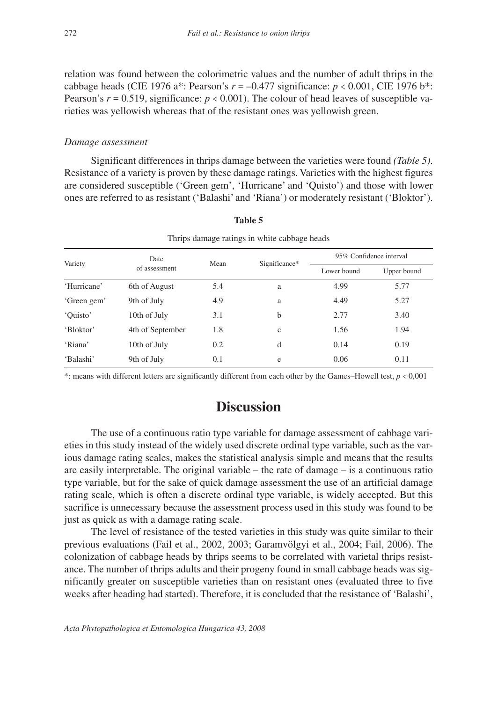relation was found between the colorimetric values and the number of adult thrips in the cabbage heads (CIE 1976 a\*: Pearson's *r* = –0.477 significance: *p* < 0.001, CIE 1976 b\*: Pearson's  $r = 0.519$ , significance:  $p < 0.001$ ). The colour of head leaves of susceptible varieties was yellowish whereas that of the resistant ones was yellowish green.

#### *Damage assessment*

Significant differences in thrips damage between the varieties were found *(Table 5)*. Resistance of a variety is proven by these damage ratings. Varieties with the highest figures are considered susceptible ('Green gem', 'Hurricane' and 'Quisto') and those with lower ones are referred to as resistant ('Balashi' and 'Riana') or moderately resistant ('Bloktor').

| Thrips damage ratings in white cabbage heads |                  |      |               |                         |             |  |
|----------------------------------------------|------------------|------|---------------|-------------------------|-------------|--|
| Variety                                      | Date             | Mean | Significance* | 95% Confidence interval |             |  |
|                                              | of assessment    |      |               | Lower bound             | Upper bound |  |
| 'Hurricane'                                  | 6th of August    | 5.4  | a             | 4.99                    | 5.77        |  |
| 'Green gem'                                  | 9th of July      | 4.9  | a             | 4.49                    | 5.27        |  |
| 'Ouisto'                                     | 10th of July     | 3.1  | b             | 2.77                    | 3.40        |  |
| 'Bloktor'                                    | 4th of September | 1.8  | $\mathbf c$   | 1.56                    | 1.94        |  |
| 'Riana'                                      | 10th of July     | 0.2  | d             | 0.14                    | 0.19        |  |
| 'Balashi'                                    | 9th of July      | 0.1  | e             | 0.06                    | 0.11        |  |

**Table 5**

\*: means with different letters are significantly different from each other by the Games–Howell test, *p* < 0,001

# **Discussion**

The use of a continuous ratio type variable for damage assessment of cabbage varieties in this study instead of the widely used discrete ordinal type variable, such as the various damage rating scales, makes the statistical analysis simple and means that the results are easily interpretable. The original variable – the rate of damage – is a continuous ratio type variable, but for the sake of quick damage assessment the use of an artificial damage rating scale, which is often a discrete ordinal type variable, is widely accepted. But this sacrifice is unnecessary because the assessment process used in this study was found to be just as quick as with a damage rating scale.

The level of resistance of the tested varieties in this study was quite similar to their previous evaluations (Fail et al., 2002, 2003; Garamvölgyi et al., 2004; Fail, 2006). The colonization of cabbage heads by thrips seems to be correlated with varietal thrips resistance. The number of thrips adults and their progeny found in small cabbage heads was significantly greater on susceptible varieties than on resistant ones (evaluated three to five weeks after heading had started). Therefore, it is concluded that the resistance of 'Balashi',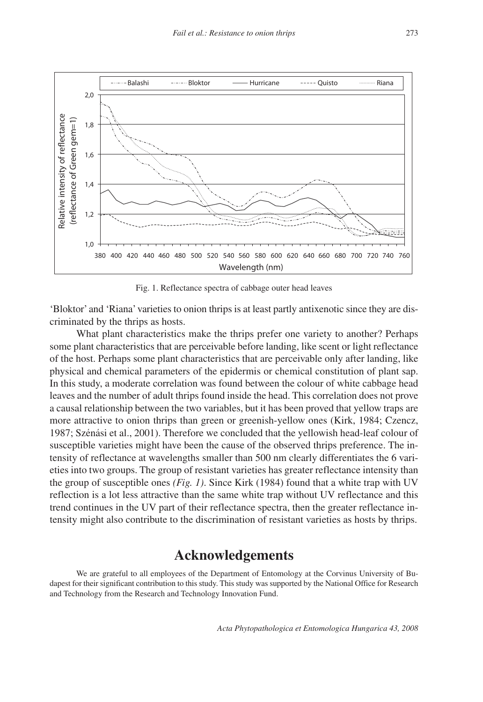

Fig. 1. Reflectance spectra of cabbage outer head leaves

'Bloktor' and 'Riana' varieties to onion thrips is at least partly antixenotic since they are discriminated by the thrips as hosts.

What plant characteristics make the thrips prefer one variety to another? Perhaps some plant characteristics that are perceivable before landing, like scent or light reflectance of the host. Perhaps some plant characteristics that are perceivable only after landing, like physical and chemical parameters of the epidermis or chemical constitution of plant sap. In this study, a moderate correlation was found between the colour of white cabbage head leaves and the number of adult thrips found inside the head. This correlation does not prove a causal relationship between the two variables, but it has been proved that yellow traps are more attractive to onion thrips than green or greenish-yellow ones (Kirk, 1984; Czencz, 1987; Szénási et al., 2001). Therefore we concluded that the yellowish head-leaf colour of susceptible varieties might have been the cause of the observed thrips preference. The intensity of reflectance at wavelengths smaller than 500 nm clearly differentiates the 6 varieties into two groups. The group of resistant varieties has greater reflectance intensity than the group of susceptible ones *(Fig. 1)*. Since Kirk (1984) found that a white trap with UV reflection is a lot less attractive than the same white trap without UV reflectance and this trend continues in the UV part of their reflectance spectra, then the greater reflectance intensity might also contribute to the discrimination of resistant varieties as hosts by thrips.

### **Acknowledgements**

We are grateful to all employees of the Department of Entomology at the Corvinus University of Budapest for their significant contribution to this study. This study was supported by the National Office for Research and Technology from the Research and Technology Innovation Fund.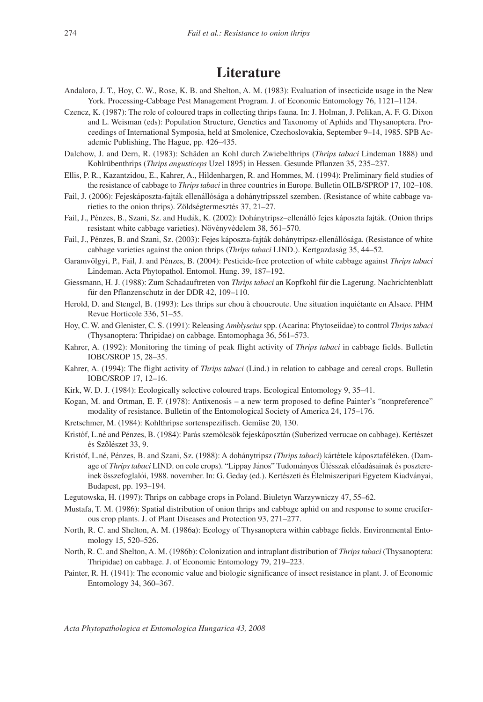# **Literature**

- Andaloro, J. T., Hoy, C. W., Rose, K. B. and Shelton, A. M. (1983): Evaluation of insecticide usage in the New York. Processing-Cabbage Pest Management Program. J. of Economic Entomology 76, 1121–1124.
- Czencz, K. (1987): The role of coloured traps in collecting thrips fauna. In: J. Holman, J. Pelikan, A. F. G. Dixon and L. Weisman (eds): Population Structure, Genetics and Taxonomy of Aphids and Thysanoptera. Proceedings of International Symposia, held at Smolenice, Czechoslovakia, September 9–14, 1985. SPB Academic Publishing, The Hague, pp. 426–435.
- Dalchow, J. and Dern, R. (1983): Schäden an Kohl durch Zwiebelthrips (*Thrips tabaci* Lindeman 1888) und Kohlrübenthrips (*Thrips angusticeps* Uzel 1895) in Hessen. Gesunde Pflanzen 35, 235–237.
- Ellis, P. R., Kazantzidou, E., Kahrer, A., Hildenhargen, R. and Hommes, M. (1994): Preliminary field studies of the resistance of cabbage to *Thripstabaci* in three countries in Europe. Bulletin OILB/SPROP 17, 102–108.
- Fail, J. (2006): Fejeskáposzta-fajták ellenállósága a dohánytripsszel szemben. (Resistance of white cabbage varieties to the onion thrips). Zöldségtermesztés 37, 21–27.
- Fail, J., Pénzes, B., Szani, Sz. and Hudák, K. (2002): Dohánytripsz–ellenálló fejes káposzta fajták. (Onion thrips resistant white cabbage varieties). Növényvédelem 38, 561–570.
- Fail, J., Pénzes, B. and Szani, Sz. (2003): Fejes káposzta-fajták dohánytripsz-ellenállósága. (Resistance of white cabbage varieties against the onion thrips (*Thrips tabaci* LIND.). Kertgazdaság 35, 44–52.
- Garamvölgyi, P., Fail, J. and Pénzes, B. (2004): Pesticide-free protection of white cabbage against *Thrips tabaci* Lindeman. Acta Phytopathol. Entomol. Hung. 39, 187–192.
- Giessmann, H. J. (1988): Zum Schadauftreten von *Thrips tabaci* an Kopfkohl für die Lagerung. Nachrichtenblatt für den Pflanzenschutz in der DDR 42, 109–110.
- Herold, D. and Stengel, B. (1993): Les thrips sur chou à choucroute. Une situation inquiétante en Alsace. PHM Revue Horticole 336, 51–55.
- Hoy, C. W. and Glenister, C. S. (1991): Releasing *Amblyseius* spp. (Acarina: Phytoseiidae) to control *Thripstabaci* (Thysanoptera: Thripidae) on cabbage. Entomophaga 36, 561–573.
- Kahrer, A. (1992): Monitoring the timing of peak flight activity of *Thrips tabaci* in cabbage fields. Bulletin IOBC/SROP 15, 28–35.
- Kahrer, A. (1994): The flight activity of *Thrips tabaci* (Lind.) in relation to cabbage and cereal crops. Bulletin IOBC/SROP 17, 12–16.
- Kirk, W. D. J. (1984): Ecologically selective coloured traps. Ecological Entomology 9, 35–41.
- Kogan, M. and Ortman, E. F. (1978): Antixenosis a new term proposed to define Painter's "nonpreference" modality of resistance. Bulletin of the Entomological Society of America 24, 175–176.
- Kretschmer, M. (1984): Kohlthripse sortenspezifisch. Gemüse 20, 130.
- Kristóf, L.né and Pénzes, B. (1984): Parás szemölcsök fejeskáposztán (Suberized verrucae on cabbage). Kertészet és Szôlészet 33, 9.
- Kristóf, L.né, Pénzes, B. and Szani, Sz. (1988): A dohánytripsz *(Thrips tabaci*) kártétele káposztaféléken. (Damage of *Thripstabaci* LIND. on cole crops). "Lippay János" Tudományos Ülésszak elôadásainak és posztereinek összefoglalói, 1988. november. In: G. Geday (ed.). Kertészeti és Élelmiszeripari Egyetem Kiadványai, Budapest, pp. 193–194.
- Legutowska, H. (1997): Thrips on cabbage crops in Poland. Biuletyn Warzywniczy 47, 55–62.
- Mustafa, T. M. (1986): Spatial distribution of onion thrips and cabbage aphid on and response to some cruciferous crop plants. J. of Plant Diseases and Protection 93, 271–277.
- North, R. C. and Shelton, A. M. (1986a): Ecology of Thysanoptera within cabbage fields. Environmental Entomology 15, 520–526.
- North, R. C. and Shelton, A. M. (1986b): Colonization and intraplant distribution of *Thripstabaci* (Thysanoptera: Thripidae) on cabbage. J. of Economic Entomology 79, 219–223.
- Painter, R. H. (1941): The economic value and biologic significance of insect resistance in plant. J. of Economic Entomology 34, 360–367.

*Acta Phytopathologica et Entomologica Hungarica 43, 2008*